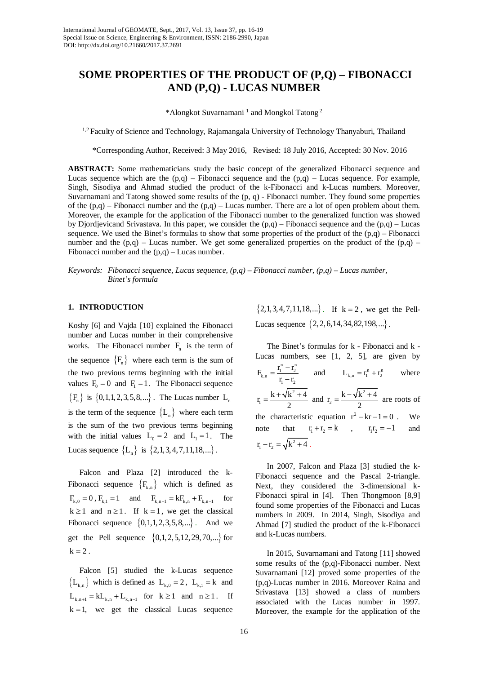# **SOME PROPERTIES OF THE PRODUCT OF (P,Q) – FIBONACCI AND (P,Q) - LUCAS NUMBER**

\*Alongkot Suvarnamani<sup>1</sup> and Mongkol Tatong<sup>2</sup>

<sup>1,2</sup> Faculty of Science and Technology, Rajamangala University of Technology Thanyaburi, Thailand

\*Corresponding Author, Received: 3 May 2016, Revised: 18 July 2016, Accepted: 30 Nov. 2016

**ABSTRACT:** Some mathematicians study the basic concept of the generalized Fibonacci sequence and Lucas sequence which are the  $(p,q)$  – Fibonacci sequence and the  $(p,q)$  – Lucas sequence. For example, Singh, Sisodiya and Ahmad studied the product of the k-Fibonacci and k-Lucas numbers. Moreover, Suvarnamani and Tatong showed some results of the (p, q) - Fibonacci number. They found some properties of the  $(p,q)$  – Fibonacci number and the  $(p,q)$  – Lucas number. There are a lot of open problem about them. Moreover, the example for the application of the Fibonacci number to the generalized function was showed by Djordjevicand Srivastava. In this paper, we consider the  $(p,q)$  – Fibonacci sequence and the  $(p,q)$  – Lucas sequence. We used the Binet's formulas to show that some properties of the product of the  $(p,q)$  – Fibonacci number and the  $(p,q)$  – Lucas number. We get some generalized properties on the product of the  $(p,q)$  – Fibonacci number and the (p,q) – Lucas number.

*Keywords: Fibonacci sequence, Lucas sequence, (p,q) – Fibonacci number, (p,q) – Lucas number, Binet's formula*

## **1. INTRODUCTION**

Koshy [6] and Vajda [10] explained the Fibonacci number and Lucas number in their comprehensive works. The Fibonacci number  $F_n$  is the term of the sequence  ${F_{n}}$  where each term is the sum of the two previous terms beginning with the initial values  $F_0 = 0$  and  $F_1 = 1$ . The Fibonacci sequence  ${F_n}$  is  ${0,1,1,2,3,5,8,...}$ . The Lucas number L<sub>n</sub> is the term of the sequence  ${L_n}$  where each term is the sum of the two previous terms beginning with the initial values  $L_0 = 2$  and  $L_1 = 1$ . The Lucas sequence  ${L_n}$  is  ${2,1,3,4,7,11,18,...}$ .

Falcon and Plaza [2] introduced the k-Fibonacci sequence  ${F_{k,n}}$  which is defined as  $F_{k,0} = 0$ ,  $F_{k,1} = 1$  and  $F_{k,n+1} = kF_{k,n} + F_{k,n-1}$  for  $k \ge 1$  and  $n \ge 1$ . If  $k = 1$ , we get the classical Fibonacci sequence  $\{0, 1, 1, 2, 3, 5, 8, ...\}$ . And we get the Pell sequence  $\{0,1,2,5,12,29,70,...\}$  for  $k = 2$ .

Falcon [5] studied the k-Lucas sequence  ${L_{k,n}}$  which is defined as  $L_{k,0} = 2$ ,  $L_{k,1} = k$  and  $L_{k,n+1} = kL_{k,n} + L_{k,n-1}$  for  $k \ge 1$  and  $n \ge 1$ . If  $k = 1$ , we get the classical Lucas sequence

 ${2,1,3,4,7,11,18,...}$ . If  $k = 2$ , we get the Pell-Lucas sequence  $\{2, 2, 6, 14, 34, 82, 198, ...\}$ .

The Binet's formulas for k - Fibonacci and k - Lucas numbers, see [1, 2, 5], are given by  $\mathbf{r}_{k,n} = \frac{\mathbf{r}_1^{n} - \mathbf{r}_2^{n}}{\mathbf{r}_1 - \mathbf{r}_2}$  $F_{k,n} = \frac{r_1^n - r_2^n}{r_1 - r_2}$  and  $L_{k,n} = r_1^n + r_2^n$  where 2 1  $r_1 = \frac{k + \sqrt{k^2 + 4}}{2}$  and  $r_2 = \frac{k - \sqrt{k^2}}{2}$ 2  $r_2 = \frac{k - \sqrt{k^2 + 4}}{2}$  are roots of the characteristic equation  $r^2 - kr - 1 = 0$ . We note that  $r_1 + r_2 = k$ ,  $r_1r_2 = -1$  and  $r_1 - r_2 = \sqrt{k^2 + 4}$ .

In 2007, Falcon and Plaza [3] studied the k-Fibonacci sequence and the Pascal 2-triangle. Next, they considered the 3-dimensional k-Fibonacci spiral in [4]. Then Thongmoon [8,9] found some properties of the Fibonacci and Lucas numbers in 2009. In 2014, Singh, Sisodiya and Ahmad [7] studied the product of the k-Fibonacci and k-Lucas numbers.

In 2015, Suvarnamani and Tatong [11] showed some results of the (p,q)-Fibonacci number. Next Suvarnamani [12] proved some properties of the (p,q)-Lucas number in 2016. Moreover Raina and Srivastava [13] showed a class of numbers associated with the Lucas number in 1997. Moreover, the example for the application of the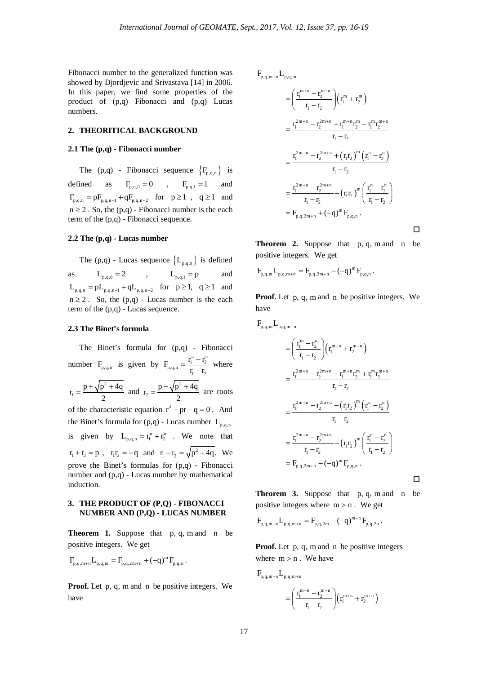Fibonacci number to the generalized function was showed by Djordjevic and Srivastava [14] in 2006. In this paper, we find some properties of the product of (p,q) Fibonacci and (p,q) Lucas numbers.

# **2. THEORITICAL BACKGROUND**

#### **2.1 The (p,q) - Fibonacci number**

The (p,q) - Fibonacci sequence  ${F_{p,q,n}}$  is defined as  $F_{p,q,0} = 0$ ,  $F_{p,q,1} = 1$  and  $F_{p,q,n} = p F_{p,q,n-1} + q F_{p,q,n-2} \quad \text{for} \quad p\geq 1 \quad , \quad q\geq 1 \quad \text{and}$  $n \ge 2$ . So, the  $(p,q)$  - Fibonacci number is the each term of the (p,q) - Fibonacci sequence.

#### **2.2 The (p,q) - Lucas number**

The  $(p,q)$  - Lucas sequence  $\{L_{p,q,n}\}\$ is defined as  $L_{p,q,0} = 2$ ,  $L_{p,q,1} = p$  and  $L_{p,q,n} = pL_{p,q,n-1} + qL_{p,q,n-2}$  for  $p \ge 1$ ,  $q \ge 1$  and  $n \ge 2$ . So, the  $(p,q)$  - Lucas number is the each term of the (p,q) - Lucas sequence.

### **2.3 The Binet's formula**

The Binet's formula for (p,q) - Fibonacci number  $F_{p,q,n}$  is given by  $F_{p,q,n} = \frac{r_1^n - r_2^n}{r_1 - r_2}$  $F_{p,q,n} = \frac{r_1^n - r_2^n}{r_1 - r_2}$  where 2 1  $r_1 = \frac{p + \sqrt{p^2 + 4q}}{2}$  and  $r_2 = \frac{p - \sqrt{p^2}}{2}$ 2  $r_2 = \frac{p - \sqrt{p^2 + 4q}}{2}$  $=\frac{p-\sqrt{p^2+4q}}{q}$  are roots of the characteristic equation  $r^2 - pr - q = 0$ . And the Binet's formula for  $(p,q)$  - Lucas number  $L_{p,q,n}$ is given by  $L_{p,q,n} = r_1^n + r_2^n$ . We note that  $r_1 + r_2 = p$ ,  $r_1 r_2 = -q$  and  $r_1 - r_2 = \sqrt{p^2 + 4q}$ . We prove the Binet's formulas for (p,q) - Fibonacci number and (p,q) - Lucas number by mathematical induction.

# **3. THE PRODUCT OF (P,Q) - FIBONACCI NUMBER AND (P,Q) - LUCAS NUMBER**

**Theorem 1.** Suppose that p, q, m and n be positive integers. We get

$$
F_{p,q,m+n}L_{p,q,m}=F_{p,q,2m+n}+(-q)^mF_{p,q,n}\,.
$$

**Proof.** Let p, q, m and n be positive integers. We have

 $F_{p,q,m+n} L_{p,q,m}$ 

$$
= \left(\frac{r_1^{m+n} - r_2^{m+n}}{r_1 - r_2}\right) \left(r_1^m + r_2^m\right)
$$
  
\n
$$
= \frac{r_1^{2m+n} - r_2^{2m+n} + r_1^{m+n}r_2^m - r_1^m r_2^{m+n}}{r_1 - r_2}
$$
  
\n
$$
= \frac{r_1^{2m+n} - r_2^{2m+n} + (r_1r_2)^m (r_1^n - r_2^n)}{r_1 - r_2}
$$
  
\n
$$
= \frac{r_1^{2m+n} - r_2^{2m+n}}{r_1 - r_2} + (r_1r_2)^m \left(\frac{r_1^n - r_2^n}{r_1 - r_2}\right)
$$
  
\n
$$
= F_{p,q,2m+n} + (-q)^m F_{p,q,n}.
$$

**Theorem 2.** Suppose that p, q, m and n be positive integers. We get

 $F_{p,q,m} L_{p,q,m+n} = F_{p,q,2m+n} - (-q)^m F_{p,q,n}$ .

**Proof.** Let p, q, m and n be positive integers. We have

$$
F_{p,q,m}L_{p,q,m+n} = \left(\frac{r_1^m - r_2^m}{r_1 - r_2}\right) \left(r_1^{m+n} + r_2^{m+n}\right)
$$
  
\n
$$
= \frac{r_1^{2m+n} - r_2^{2m+n} - r_1^{m+n}r_2^m + r_1^m r_2^{m+n}}{r_1 - r_2}
$$
  
\n
$$
= \frac{r_1^{2m+n} - r_2^{2m+n} - (r_1r_2)^m (r_1^n - r_2^n)}{r_1 - r_2}
$$
  
\n
$$
= \frac{r_1^{2m+n} - r_2^{2m+n}}{r_1 - r_2} - (r_1r_2)^m \left(\frac{r_1^n - r_2^n}{r_1 - r_2}\right)
$$
  
\n
$$
= F_{p,q,2m+n} - (-q)^m F_{p,q,n}.
$$

**Theorem 3.** Suppose that p, q, m and n be positive integers where  $m > n$ . We get

$$
F_{p,q,m-n}L_{p,q,m+n}=F_{p,q,2m}-\left(-q\right)^{m-n}F_{p,q,2n}\,.
$$

**Proof.** Let p, q, m and n be positive integers where  $m > n$ . We have

$$
\begin{aligned} F_{p,q,m-n}L_{p,q,m+n} \\ = & \bigg(\frac{r_1^{m-n}-r_2^{m-n}}{r_1-r_2}\bigg)\Big(r_1^{m+n}+r_2^{m+n}\Big) \end{aligned}
$$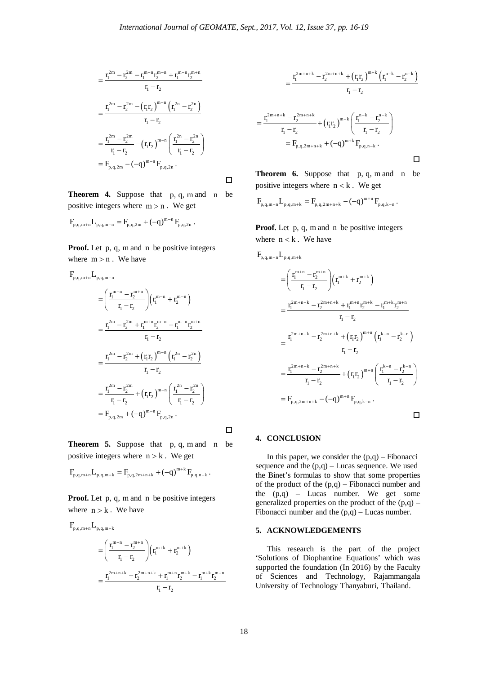$\Box$ 

 $\Box$ 

$$
=\frac{r_1^{2m}-r_2^{2m}-r_1^{m+n}r_2^{m-n}+r_1^{m-n}r_2^{m+n}}{r_1-r_2}\\\\=\frac{r_1^{2m}-r_2^{2m}-\left(r_1r_2\right)^{m-n}\left(r_1^{2n}-r_2^{2n}\right)}{r_1-r_2}\\\\=\frac{r_1^{2m}-r_2^{2m}}{r_1-r_2}-\left(r_1r_2\right)^{m-n}\left(\frac{r_1^{2n}-r_2^{2n}}{r_1-r_2}\right)\\\\=F_{p,q,2m}-\left(-q\right)^{m-n}F_{p,q,2n}~.
$$

**Theorem 4.** Suppose that p, q, m and n be positive integers where  $m > n$ . We get

$$
F_{p,q,m+n} L_{p,q,m-n} = F_{p,q,2m} + (-q)^{m-n} \, F_{p,q,2n} \; .
$$

**Proof.** Let p, q, m and n be positive integers where  $m > n$ . We have

$$
F_{p,q,m+n}L_{p,q,m-n}
$$
\n
$$
= \left(\frac{r_1^{m+n} - r_2^{m+n}}{r_1 - r_2}\right) \left(r_1^{m-n} + r_2^{m-n}\right)
$$
\n
$$
= \frac{r_1^{2m} - r_2^{2m} + r_1^{m+n}r_2^{m-n} - r_1^{m-n}r_2^{m+n}}{r_1 - r_2}
$$
\n
$$
= \frac{r_1^{2m} - r_2^{2m} + (r_1r_2)^{m-n}\left(r_1^{2n} - r_2^{2n}\right)}{r_1 - r_2}
$$
\n
$$
= \frac{r_1^{2m} - r_2^{2m}}{r_1 - r_2} + (r_1r_2)^{m-n}\left(\frac{r_1^{2n} - r_2^{2n}}{r_1 - r_2}\right)
$$
\n
$$
= F_{p,q,2m} + (-q)^{m-n}F_{p,q,2n}.
$$

**Theorem 5.** Suppose that p, q, m and n be positive integers where  $n > k$ . We get

$$
F_{p,q,m+n}L_{p,q,m+k}=F_{p,q,2m+n+k}+(-q)^{m+k}F_{p,q,n-k}\,.
$$

**Proof.** Let p, q, m and n be positive integers where  $n > k$ . We have

$$
\begin{aligned} F_{p,q,m+n} L_{p,q,m+k} \\&= \Bigg(\frac{r_1^{m+n} - r_2^{m+n}}{r_1-r_2}\Bigg) \Big(r_1^{m+k} + r_2^{m+k}\Bigg) \\&= \frac{r_1^{2m+n+k} - r_2^{2m+n+k} + r_1^{m+n}r_2^{m+k} - r_1^{m+k}r_2^{m+n}}{r_1-r_2} \end{aligned}
$$

$$
= \frac{r_1^{2m+n+k} - r_2^{2m+n+k} + (r_1r_2)^{m+k} (r_1^{n-k} - r_2^{n-k})}{r_1 - r_2}
$$
  

$$
= \frac{r_1^{2m+n+k} - r_2^{2m+n+k}}{r_1 - r_2} + (r_1r_2)^{m+k} \left(\frac{r_1^{n-k} - r_2^{n-k}}{r_1 - r_2}\right)
$$
  

$$
= F_{p,q,2m+n+k} + (-q)^{m+k} F_{p,q,n-k}.
$$

**Theorem 6.** Suppose that p, q, m and n be positive integers where  $n < k$ . We get

$$
F_{p,q,m+n}L_{p,q,m+k}=F_{p,q,2m+n+k}-(-q)^{m+n}\,F_{p,q,k-n}\,.
$$

**Proof.** Let p, q, m and n be positive integers where  $n < k$ . We have

$$
F_{p,q,m+n}L_{p,q,m+k}
$$
\n
$$
= \left(\frac{r_1^{m+n} - r_2^{m+n}}{r_1 - r_2}\right) \left(r_1^{m+k} + r_2^{m+k}\right)
$$
\n
$$
= \frac{r_1^{2m+n+k} - r_2^{2m+n+k} + r_1^{m+n}r_2^{m+k} - r_1^{m+k}r_2^{m+n}}{r_1 - r_2}
$$
\n
$$
= \frac{r_1^{2m+n+k} - r_2^{2m+n+k} + (r_1r_2)^{m+n} \left(r_1^{k-n} - r_2^{k-n}\right)}{r_1 - r_2}
$$
\n
$$
= \frac{r_1^{2m+n+k} - r_2^{2m+n+k}}{r_1 - r_2} + (r_1r_2)^{m+n} \left(\frac{r_1^{k-n} - r_2^{k-n}}{r_1 - r_2}\right)
$$
\n
$$
= F_{p,q,2m+n+k} - (-q)^{m+n} F_{p,q,k-n}.
$$

#### **4. CONCLUSION**

In this paper, we consider the  $(p,q)$  – Fibonacci sequence and the  $(p,q)$  – Lucas sequence. We used the Binet's formulas to show that some properties of the product of the  $(p,q)$  – Fibonacci number and the  $(p,q)$  – Lucas number. We get some generalized properties on the product of the  $(p,q)$  – Fibonacci number and the  $(p,q)$  – Lucas number.

# **5. ACKNOWLEDGEMENTS**

This research is the part of the project 'Solutions of Diophantine Equations' which was supported the foundation (In 2016) by the Faculty of Sciences and Technology, Rajammangala University of Technology Thanyaburi, Thailand.